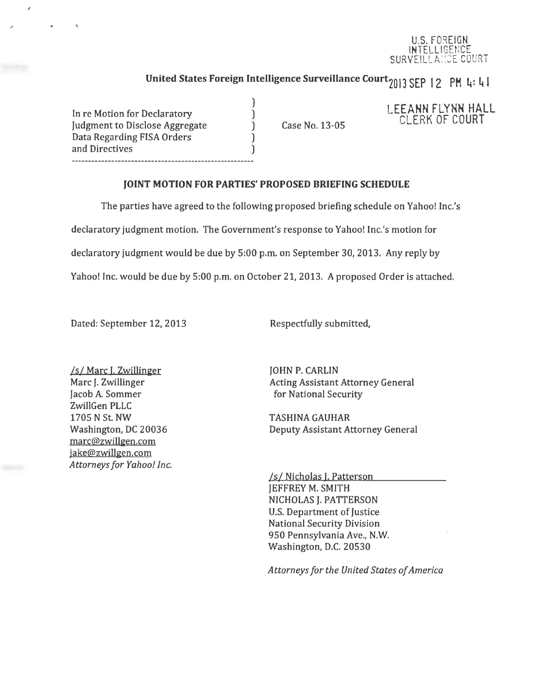#### U.S. FOREIGN INTELLIGENCE SURVEILLANCE COURT

# United States Foreign Intelligence Surveillance Court<sub>2013</sub> SEP 12 PM 4: 41

In re Motion for Declaratory Judgment to Disclose Aggregate Data Regarding FISA Orders and Directives ------------------------------

Case No. 13-05

### LEEANN FLYNN HALL CLERK OF COURT

#### JOINT MOTION FOR PARTIES' PROPOSED BRIEFING SCHEDULE

The parties have agreed to the following proposed briefing schedule on Yahoo! Inc.'s

declaratory judgment motion. The Government's response to Yahoo! Inc.'s motion for

) ) ) ) )

declaratory judgment would be due by 5:00 p.m. on September 30, 2013. Any reply by

Yahoo! Inc. would be due by 5:00 p.m. on October 21, 2013. *A* proposed Order is attached.

Dated: September 12, 2013

Respectfully submitted,

*Is I* Marc I. Zwillinger Marc J. Zwillinger Jacob A. Sommer ZwillGen PLLC 1705 N St. NW Washington, DC 20036 marc@zwillgen.com jake@zwillgen.com *Attorneys for Yahoo! Inc.* 

JOHN P. CARLIN Acting Assistant Attorney General for National Security

TASHINA GAUHAR Deputy Assistant Attorney General

*Isl* Nicholas I. Patterson JEFFREY M. SMITH NICHOLAS J. PATTERSON U.S. Department of Justice National Security Division 950 Pennsylvania Ave., N.W. Washington, D.C. 20530

*Attorneys for the United States of America*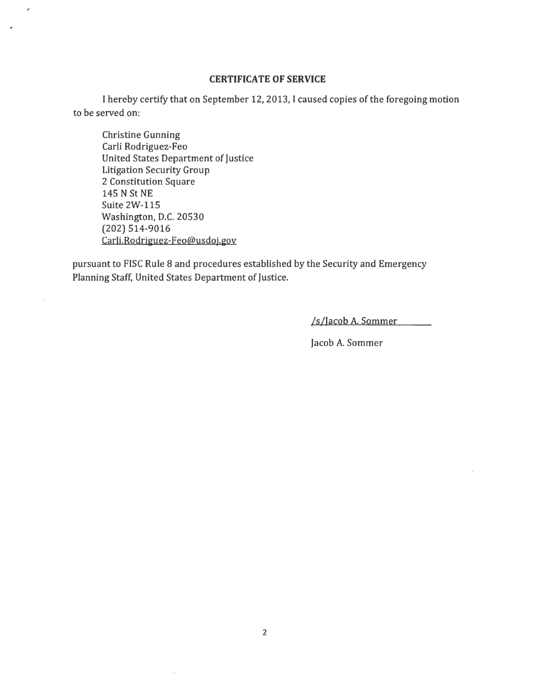#### **CERTIFICATE OF SERVICE**

I hereby certify that on September 12, 2013, I caused copies of the foregoing motion to be served on:

Christine Gunning Carli Rodriguez-Feo United States Department of Justice Litigation Security Group 2 Constitution Square 145 N St NE Suite 2W-115 Washington, D.C. 20530 (202) 514-9016 Carli.Rodriguez-Feo@usdoj.gov

 $\overline{\phantom{a}}$ 

pursuant to FISC Rule 8 and procedures established by the Security and Emergency Planning Staff, United States Department of Justice.

ls/Jacob A. Sommer

Jacob A. Sommer